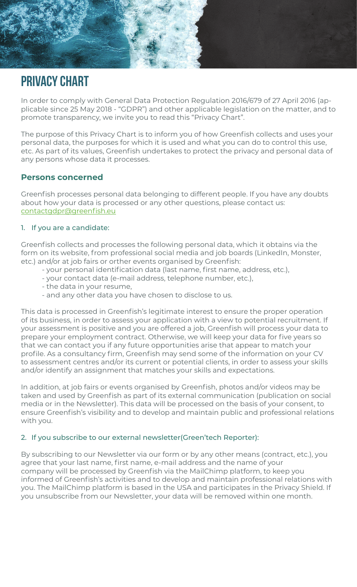# PRIVACY CHART

In order to comply with General Data Protection Regulation 2016/679 of 27 April 2016 (applicable since 25 May 2018 - "GDPR") and other applicable legislation on the matter, and to promote transparency, we invite you to read this "Privacy Chart".

The purpose of this Privacy Chart is to inform you of how Greenfish collects and uses your personal data, the purposes for which it is used and what you can do to control this use, etc. As part of its values, Greenfish undertakes to protect the privacy and personal data of any persons whose data it processes.

## **Persons concerned**

Greenfish processes personal data belonging to different people. If you have any doubts about how your data is processed or any other questions, please contact us: contactgdpr@greenfish.eu

#### 1. If you are a candidate:

Greenfish collects and processes the following personal data, which it obtains via the form on its website, from professional social media and job boards (LinkedIn, Monster, etc.) and/or at job fairs or orther events organised by Greenfish:

- your personal identification data (last name, first name, address, etc.),
- your contact data (e-mail address, telephone number, etc.),
- the data in your resume,
- and any other data you have chosen to disclose to us.

This data is processed in Greenfish's legitimate interest to ensure the proper operation of its business, in order to assess your application with a view to potential recruitment. If your assessment is positive and you are offered a job, Greenfish will process your data to prepare your employment contract. Otherwise, we will keep your data for five years so that we can contact you if any future opportunities arise that appear to match your profile. As a consultancy firm, Greenfish may send some of the information on your CV to assessment centres and/or its current or potential clients, in order to assess your skills and/or identify an assignment that matches your skills and expectations.

In addition, at job fairs or events organised by Greenfish, photos and/or videos may be taken and used by Greenfish as part of its external communication (publication on social media or in the Newsletter). This data will be processed on the basis of your consent, to ensure Greenfish's visibility and to develop and maintain public and professional relations with you.

#### 2. If you subscribe to our external newsletter(Green'tech Reporter):

By subscribing to our Newsletter via our form or by any other means (contract, etc.), you agree that your last name, first name, e-mail address and the name of your company will be processed by Greenfish via the MailChimp platform, to keep you informed of Greenfish's activities and to develop and maintain professional relations with you. The MailChimp platform is based in the USA and participates in the Privacy Shield. If you unsubscribe from our Newsletter, your data will be removed within one month.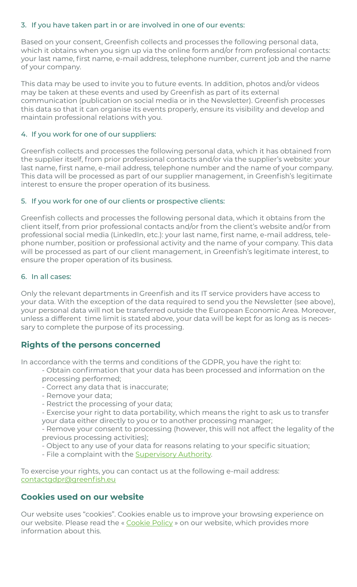#### 3. If you have taken part in or are involved in one of our events:

Based on your consent, Greenfish collects and processes the following personal data, which it obtains when you sign up via the online form and/or from professional contacts: your last name, first name, e-mail address, telephone number, current job and the name of your company.

This data may be used to invite you to future events. In addition, photos and/or videos may be taken at these events and used by Greenfish as part of its external communication (publication on social media or in the Newsletter). Greenfish processes this data so that it can organise its events properly, ensure its visibility and develop and maintain professional relations with you.

#### 4. If you work for one of our suppliers:

Greenfish collects and processes the following personal data, which it has obtained from the supplier itself, from prior professional contacts and/or via the supplier's website: your last name, first name, e-mail address, telephone number and the name of your company. This data will be processed as part of our supplier management, in Greenfish's legitimate interest to ensure the proper operation of its business.

#### 5. If you work for one of our clients or prospective clients:

Greenfish collects and processes the following personal data, which it obtains from the client itself, from prior professional contacts and/or from the client's website and/or from professional social media (LinkedIn, etc.): your last name, first name, e-mail address, telephone number, position or professional activity and the name of your company. This data will be processed as part of our client management, in Greenfish's legitimate interest, to ensure the proper operation of its business.

#### 6. In all cases:

Only the relevant departments in Greenfish and its IT service providers have access to your data. With the exception of the data required to send you the Newsletter (see above), your personal data will not be transferred outside the European Economic Area. Moreover, unless a different time limit is stated above, your data will be kept for as long as is necessary to complete the purpose of its processing.

## **Rights of the persons concerned**

In accordance with the terms and conditions of the GDPR, you have the right to:

- Obtain confirmation that your data has been processed and information on the processing performed;
- Correct any data that is inaccurate;
- Remove your data;
- Restrict the processing of your data;
- Exercise your right to data portability, which means the right to ask us to transfer your data either directly to you or to another processing manager;
- Remove your consent to processing (however, this will not affect the legality of the previous processing activities);
- Object to any use of your data for reasons relating to your specific situation;
- File a complaint with the **Supervisory Authority**.

To exercise your rights, you can contact us at the following e-mail address: contactgdpr@greenfish.eu

## **Cookies used on our website**

Our website uses "cookies". Cookies enable us to improve your browsing experience on our website. Please read the « Cookie Policy » on our website, which provides more information about this.